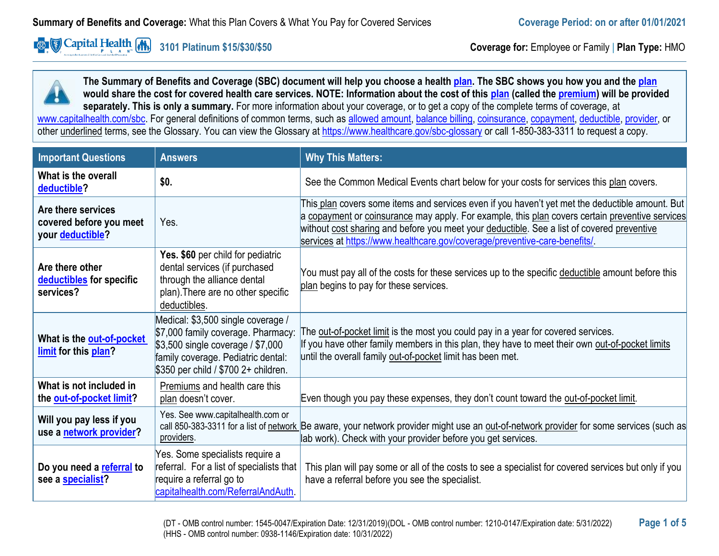**Example 2 Capital Health (A)** 

**3101 Platinum \$15/\$30/\$50 Coverage for:** Employee or Family | **Plan Type:** HMO

**The Summary of Benefits and Coverage (SBC) document will help you choose a healt[h plan.](https://www.healthcare.gov/sbc-glossary/#plan) The SBC shows you how you and the [plan](https://www.healthcare.gov/sbc-glossary/#plan) would share the cost for covered health care services. NOTE: Information about the cost of this [plan](https://www.healthcare.gov/sbc-glossary/#plan) (called the [premium\)](https://www.healthcare.gov/sbc-glossary/#premium) will be provided separately. This is only a summary.** For more information about your coverage, or to get a copy of the complete terms of coverage, at [www.capitalhealth.com/sbc.](http://www.capitalhealth.com/sbc) For general definitions of common terms, such as [allowed amount,](https://www.healthcare.gov/sbc-glossary/#allowed-amount) [balance billing,](https://www.healthcare.gov/sbc-glossary/#balance-billing) [coinsurance,](https://www.healthcare.gov/sbc-glossary/#coinsurance) [copayment,](https://www.healthcare.gov/sbc-glossary/#copayment) [deductible,](https://www.healthcare.gov/sbc-glossary/#deductible) [provider,](https://www.healthcare.gov/sbc-glossary/#provider) or other underlined terms, see the Glossary. You can view the Glossary at<https://www.healthcare.gov/sbc-glossary> or call 1-850-383-3311 to request a copy.

| <b>Important Questions</b>                                        | <b>Answers</b>                                                                                                                                                                              | <b>Why This Matters:</b>                                                                                                                                                                                                                                                                                                                                                       |
|-------------------------------------------------------------------|---------------------------------------------------------------------------------------------------------------------------------------------------------------------------------------------|--------------------------------------------------------------------------------------------------------------------------------------------------------------------------------------------------------------------------------------------------------------------------------------------------------------------------------------------------------------------------------|
| What is the overall<br>deductible?                                | \$0.                                                                                                                                                                                        | See the Common Medical Events chart below for your costs for services this plan covers.                                                                                                                                                                                                                                                                                        |
| Are there services<br>covered before you meet<br>your deductible? | Yes.                                                                                                                                                                                        | This plan covers some items and services even if you haven't yet met the deductible amount. But<br>a copayment or coinsurance may apply. For example, this plan covers certain preventive services<br>without cost sharing and before you meet your deductible. See a list of covered preventive<br>services at https://www.healthcare.gov/coverage/preventive-care-benefits/. |
| Are there other<br>deductibles for specific<br>services?          | Yes. \$60 per child for pediatric<br>dental services (if purchased<br>through the alliance dental<br>plan). There are no other specific<br>deductibles.                                     | You must pay all of the costs for these services up to the specific deductible amount before this<br>plan begins to pay for these services.                                                                                                                                                                                                                                    |
| What is the out-of-pocket<br>limit for this plan?                 | Medical: \$3,500 single coverage /<br>\$7,000 family coverage. Pharmacy:<br>\$3,500 single coverage / \$7,000<br>family coverage. Pediatric dental:<br>\$350 per child / \$700 2+ children. | The <u>out-of-pocket limit</u> is the most you could pay in a year for covered services.<br>If you have other family members in this plan, they have to meet their own out-of-pocket limits<br>until the overall family out-of-pocket limit has been met.                                                                                                                      |
| What is not included in<br>the out-of-pocket limit?               | Premiums and health care this<br>plan doesn't cover.                                                                                                                                        | Even though you pay these expenses, they don't count toward the out-of-pocket limit.                                                                                                                                                                                                                                                                                           |
| Will you pay less if you<br>use a network provider?               | Yes. See www.capitalhealth.com or<br>providers.                                                                                                                                             | call 850-383-3311 for a list of network Be aware, your network provider might use an out-of-network provider for some services (such as<br>lab work). Check with your provider before you get services.                                                                                                                                                                        |
| Do you need a referral to<br>see a <b>specialist?</b>             | Yes. Some specialists require a<br>referral. For a list of specialists that<br>require a referral go to<br>capitalhealth.com/ReferralAndAuth.                                               | This plan will pay some or all of the costs to see a specialist for covered services but only if you<br>have a referral before you see the specialist.                                                                                                                                                                                                                         |

(DT - OMB control number: 1545-0047/Expiration Date: 12/31/2019)(DOL - OMB control number: 1210-0147/Expiration date: 5/31/2022) **Page 1 of 5** (HHS - OMB control number: 0938-1146/Expiration date: 10/31/2022)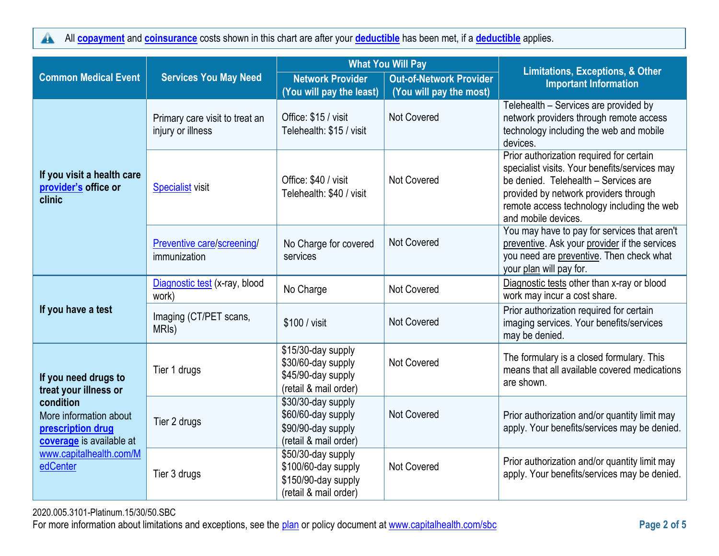All **[copayment](https://www.healthcare.gov/sbc-glossary/#copayment)** and **[coinsurance](https://www.healthcare.gov/sbc-glossary/#coinsurance)** costs shown in this chart are after your **[deductible](https://www.healthcare.gov/sbc-glossary/#deductible)** has been met, if a **[deductible](https://www.healthcare.gov/sbc-glossary/#deductible)** applies.  $\blacktriangle$ 

|                                                                                      |                                                     | <b>What You Will Pay</b>                                                                  |                                                           | <b>Limitations, Exceptions, &amp; Other</b>                                                                                                                                                                                                     |
|--------------------------------------------------------------------------------------|-----------------------------------------------------|-------------------------------------------------------------------------------------------|-----------------------------------------------------------|-------------------------------------------------------------------------------------------------------------------------------------------------------------------------------------------------------------------------------------------------|
| <b>Common Medical Event</b>                                                          | <b>Services You May Need</b>                        | <b>Network Provider</b><br>(You will pay the least)                                       | <b>Out-of-Network Provider</b><br>(You will pay the most) | <b>Important Information</b>                                                                                                                                                                                                                    |
|                                                                                      | Primary care visit to treat an<br>injury or illness | Office: \$15 / visit<br>Telehealth: \$15 / visit                                          | <b>Not Covered</b>                                        | Telehealth - Services are provided by<br>network providers through remote access<br>technology including the web and mobile<br>devices.                                                                                                         |
| If you visit a health care<br>provider's office or<br>clinic                         | <b>Specialist visit</b>                             | Office: \$40 / visit<br>Telehealth: \$40 / visit                                          | Not Covered                                               | Prior authorization required for certain<br>specialist visits. Your benefits/services may<br>be denied. Telehealth - Services are<br>provided by network providers through<br>remote access technology including the web<br>and mobile devices. |
|                                                                                      | Preventive care/screening/<br>immunization          | No Charge for covered<br>services                                                         | <b>Not Covered</b>                                        | You may have to pay for services that aren't<br>preventive. Ask your provider if the services<br>you need are preventive. Then check what<br>your plan will pay for.                                                                            |
|                                                                                      | Diagnostic test (x-ray, blood<br>work)              | No Charge                                                                                 | Not Covered                                               | Diagnostic tests other than x-ray or blood<br>work may incur a cost share.                                                                                                                                                                      |
| If you have a test                                                                   | Imaging (CT/PET scans,<br>MRI <sub>s</sub> )        | \$100 / visit                                                                             | <b>Not Covered</b>                                        | Prior authorization required for certain<br>imaging services. Your benefits/services<br>may be denied.                                                                                                                                          |
| If you need drugs to<br>treat your illness or                                        | Tier 1 drugs                                        | \$15/30-day supply<br>\$30/60-day supply<br>\$45/90-day supply<br>(retail & mail order)   | Not Covered                                               | The formulary is a closed formulary. This<br>means that all available covered medications<br>are shown.                                                                                                                                         |
| condition<br>More information about<br>prescription drug<br>coverage is available at | Tier 2 drugs                                        | \$30/30-day supply<br>\$60/60-day supply<br>\$90/90-day supply<br>(retail & mail order)   | Not Covered                                               | Prior authorization and/or quantity limit may<br>apply. Your benefits/services may be denied.                                                                                                                                                   |
| www.capitalhealth.com/M<br>edCenter                                                  | Tier 3 drugs                                        | \$50/30-day supply<br>\$100/60-day supply<br>\$150/90-day supply<br>(retail & mail order) | Not Covered                                               | Prior authorization and/or quantity limit may<br>apply. Your benefits/services may be denied.                                                                                                                                                   |

2020.005.3101-Platinum.15/30/50.SBC

For more information about limitations and exceptions, see the [plan](https://www.healthcare.gov/sbc-glossary/#plan) or policy document at [www.capitalhealth.com/sbc](http://www.capitalhealth.com/sbc) **Page 2 of 5**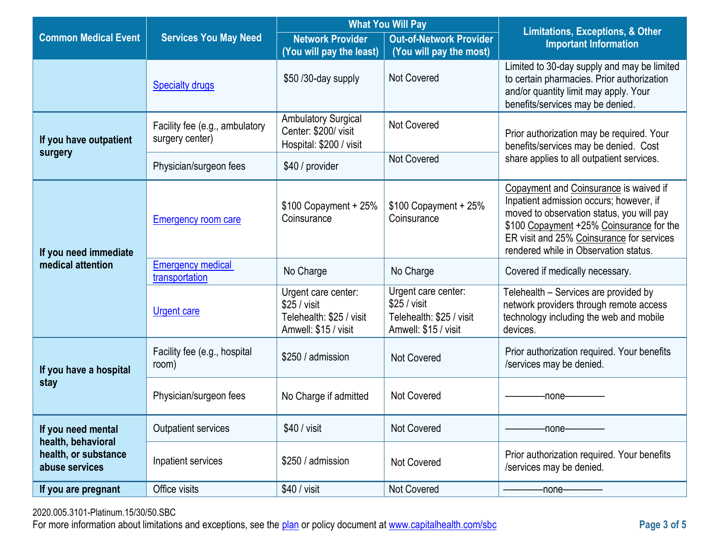|                                          |                                                   | <b>What You Will Pay</b>                                                                       |                                                                                         | <b>Limitations, Exceptions, &amp; Other</b>                                                                                                                                                                                                                      |  |
|------------------------------------------|---------------------------------------------------|------------------------------------------------------------------------------------------------|-----------------------------------------------------------------------------------------|------------------------------------------------------------------------------------------------------------------------------------------------------------------------------------------------------------------------------------------------------------------|--|
| <b>Common Medical Event</b>              | <b>Services You May Need</b>                      | <b>Network Provider</b><br>(You will pay the least)                                            | <b>Out-of-Network Provider</b><br>(You will pay the most)                               | <b>Important Information</b>                                                                                                                                                                                                                                     |  |
|                                          | <b>Specialty drugs</b>                            | \$50 /30-day supply                                                                            | <b>Not Covered</b>                                                                      | Limited to 30-day supply and may be limited<br>to certain pharmacies. Prior authorization<br>and/or quantity limit may apply. Your<br>benefits/services may be denied.                                                                                           |  |
| If you have outpatient                   | Facility fee (e.g., ambulatory<br>surgery center) | <b>Ambulatory Surgical</b><br>Center: \$200/ visit<br>Hospital: \$200 / visit                  | <b>Not Covered</b>                                                                      | Prior authorization may be required. Your<br>benefits/services may be denied. Cost                                                                                                                                                                               |  |
| surgery                                  | Physician/surgeon fees                            | \$40 / provider                                                                                | <b>Not Covered</b>                                                                      | share applies to all outpatient services.                                                                                                                                                                                                                        |  |
| If you need immediate                    | <b>Emergency room care</b>                        | $$100$ Copayment + 25%<br>Coinsurance                                                          | $$100$ Copayment + 25%<br>Coinsurance                                                   | Copayment and Coinsurance is waived if<br>Inpatient admission occurs; however, if<br>moved to observation status, you will pay<br>\$100 Copayment +25% Coinsurance for the<br>ER visit and 25% Coinsurance for services<br>rendered while in Observation status. |  |
| medical attention                        | <b>Emergency medical</b><br>transportation        | No Charge                                                                                      | No Charge                                                                               | Covered if medically necessary.                                                                                                                                                                                                                                  |  |
|                                          | <b>Urgent care</b>                                | Urgent care center:<br>\$25 / <i>visit</i><br>Telehealth: \$25 / visit<br>Amwell: \$15 / visit | Urgent care center:<br>\$25 / visit<br>Telehealth: \$25 / visit<br>Amwell: \$15 / visit | Telehealth - Services are provided by<br>network providers through remote access<br>technology including the web and mobile<br>devices.                                                                                                                          |  |
| If you have a hospital                   | Facility fee (e.g., hospital<br>room)             | \$250 / admission                                                                              | <b>Not Covered</b>                                                                      | Prior authorization required. Your benefits<br>/services may be denied.                                                                                                                                                                                          |  |
| stay                                     | Physician/surgeon fees                            | No Charge if admitted                                                                          | <b>Not Covered</b>                                                                      | -none-                                                                                                                                                                                                                                                           |  |
| If you need mental<br>health, behavioral | Outpatient services                               | $$40 /$ visit                                                                                  | Not Covered                                                                             | -none-                                                                                                                                                                                                                                                           |  |
| health, or substance<br>abuse services   | Inpatient services                                | \$250 / admission                                                                              | <b>Not Covered</b>                                                                      | Prior authorization required. Your benefits<br>/services may be denied.                                                                                                                                                                                          |  |
| If you are pregnant                      | Office visits                                     | $$40 / v$ isit                                                                                 | <b>Not Covered</b>                                                                      | -none-                                                                                                                                                                                                                                                           |  |

2020.005.3101-Platinum.15/30/50.SBC

For more information about limitations and exceptions, see the [plan](https://www.healthcare.gov/sbc-glossary/#plan) or policy document at [www.capitalhealth.com/sbc](http://www.capitalhealth.com/sbc) **Page 3 of 5**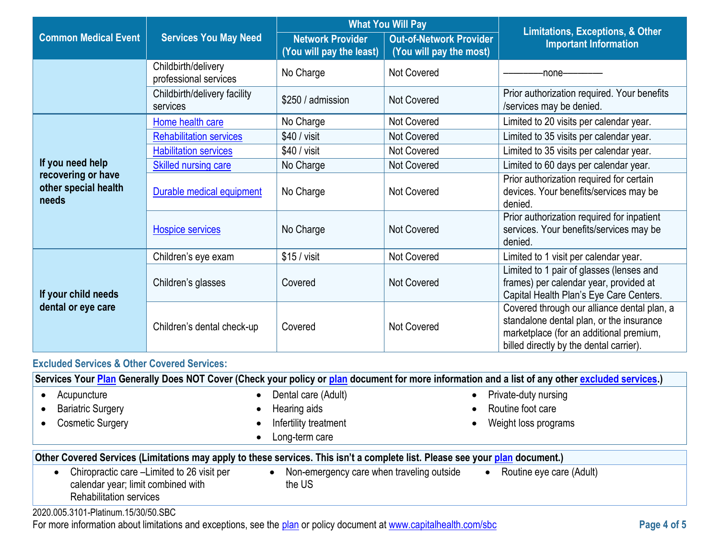|                                                     |                                              | <b>What You Will Pay</b>                            |                                                           | <b>Limitations, Exceptions, &amp; Other</b>                                                                                                                                   |  |
|-----------------------------------------------------|----------------------------------------------|-----------------------------------------------------|-----------------------------------------------------------|-------------------------------------------------------------------------------------------------------------------------------------------------------------------------------|--|
| <b>Common Medical Event</b>                         | <b>Services You May Need</b>                 | <b>Network Provider</b><br>(You will pay the least) | <b>Out-of-Network Provider</b><br>(You will pay the most) | <b>Important Information</b>                                                                                                                                                  |  |
|                                                     | Childbirth/delivery<br>professional services | No Charge                                           | Not Covered                                               | -none-                                                                                                                                                                        |  |
|                                                     | Childbirth/delivery facility<br>services     | \$250 / admission                                   | <b>Not Covered</b>                                        | Prior authorization required. Your benefits<br>/services may be denied.                                                                                                       |  |
|                                                     | Home health care                             | No Charge                                           | <b>Not Covered</b>                                        | Limited to 20 visits per calendar year.                                                                                                                                       |  |
|                                                     | <b>Rehabilitation services</b>               | $$40 /$ visit                                       | <b>Not Covered</b>                                        | Limited to 35 visits per calendar year.                                                                                                                                       |  |
|                                                     | <b>Habilitation services</b>                 | $$40 /$ visit                                       | <b>Not Covered</b>                                        | Limited to 35 visits per calendar year.                                                                                                                                       |  |
| If you need help                                    | <b>Skilled nursing care</b>                  | No Charge                                           | Not Covered                                               | Limited to 60 days per calendar year.                                                                                                                                         |  |
| recovering or have<br>other special health<br>needs | Durable medical equipment                    | No Charge                                           | Not Covered                                               | Prior authorization required for certain<br>devices. Your benefits/services may be<br>denied.                                                                                 |  |
|                                                     | <b>Hospice services</b>                      | No Charge                                           | <b>Not Covered</b>                                        | Prior authorization required for inpatient<br>services. Your benefits/services may be<br>denied.                                                                              |  |
|                                                     | Children's eye exam                          | $$15 /$ visit                                       | <b>Not Covered</b>                                        | Limited to 1 visit per calendar year.                                                                                                                                         |  |
| If your child needs                                 | Children's glasses                           | Covered                                             | <b>Not Covered</b>                                        | Limited to 1 pair of glasses (lenses and<br>frames) per calendar year, provided at<br>Capital Health Plan's Eye Care Centers.                                                 |  |
| dental or eye care                                  | Children's dental check-up                   | Covered                                             | <b>Not Covered</b>                                        | Covered through our alliance dental plan, a<br>standalone dental plan, or the insurance<br>marketplace (for an additional premium,<br>billed directly by the dental carrier). |  |

# **Excluded Services & Other Covered Services:**

| Services Your Plan Generally Does NOT Cover (Check your policy or plan document for more information and a list of any other excluded services.) |                                                     |                                       |  |
|--------------------------------------------------------------------------------------------------------------------------------------------------|-----------------------------------------------------|---------------------------------------|--|
| Acupuncture                                                                                                                                      | Dental care (Adult)                                 | Private-duty nursing                  |  |
| <b>Bariatric Surgery</b>                                                                                                                         | Hearing aids                                        | Routine foot care                     |  |
| <b>Cosmetic Surgery</b>                                                                                                                          | Infertility treatment                               | Weight loss programs                  |  |
|                                                                                                                                                  | Long-term care                                      |                                       |  |
| Other Covered Services (Limitations may apply to these services. This isn't a complete list. Please see your plan document.)                     |                                                     |                                       |  |
| Chiropractic care -Limited to 26 visit per<br>calendar year; limit combined with<br><b>Rehabilitation services</b>                               | Non-emergency care when traveling outside<br>the US | Routine eye care (Adult)<br>$\bullet$ |  |
| $1 - 1001 - 0000$                                                                                                                                |                                                     |                                       |  |

2020.005.3101-Platinum.15/30/50.SBC

For more information about limitations and exceptions, see the [plan](https://www.healthcare.gov/sbc-glossary/#plan) or policy document at [www.capitalhealth.com/sbc](http://www.capitalhealth.com/sbc) **Page 4 of 5**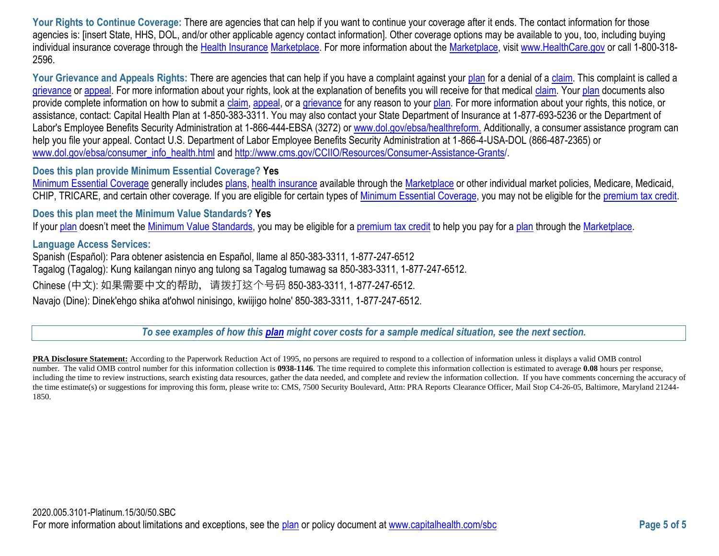Your Rights to Continue Coverage: There are agencies that can help if you want to continue your coverage after it ends. The contact information for those agencies is: [insert State, HHS, DOL, and/or other applicable agency contact information]. Other coverage options may be available to you, too, including buying individual insurance coverage through the [Health Insurance](https://www.healthcare.gov/sbc-glossary/#health-insurance) [Marketplace.](https://www.healthcare.gov/sbc-glossary/#marketplace) For more information about the [Marketplace,](https://www.healthcare.gov/sbc-glossary/#marketplace) visi[t www.HealthCare.gov](http://www.healthcare.gov/) or call 1-800-318-2596.

Your Grievance and Appeals Rights: There are agencies that can help if you have a complaint against your [plan](https://www.healthcare.gov/sbc-glossary/#plan) for a denial of a [claim.](https://www.healthcare.gov/sbc-glossary/#claim) This complaint is called a [grievance](https://www.healthcare.gov/sbc-glossary/#grievance) or [appeal.](https://www.healthcare.gov/sbc-glossary/#appeal) For more information about your rights, look at the explanation of benefits you will receive for that medical [claim.](https://www.healthcare.gov/sbc-glossary/#claim) Your [plan](https://www.healthcare.gov/sbc-glossary/#plan) documents also provide complete information on how to submit a [claim,](https://www.healthcare.gov/sbc-glossary/#claim) [appeal,](https://www.healthcare.gov/sbc-glossary/#appeal) or a [grievance](https://www.healthcare.gov/sbc-glossary/#grievance) for any reason to your [plan.](https://www.healthcare.gov/sbc-glossary/#plan) For more information about your rights, this notice, or assistance, contact: Capital Health Plan at 1-850-383-3311. You may also contact your State Department of Insurance at 1-877-693-5236 or the Department of Labor's Employee Benefits Security Administration at 1-866-444-EBSA (3272) or www.dol.gov/ebsa/healthreform. Additionally, a consumer assistance program can help you file your appeal. Contact U.S. Department of Labor Employee Benefits Security Administration at 1-866-4-USA-DOL (866-487-2365) or [www.dol.gov/ebsa/consumer\\_info\\_health.html](http://www.dol.gov/ebsa/consumer_info_health.html) an[d http://www.cms.gov/CCIIO/Resources/Consumer-Assistance-Grants/](http://www.cms.gov/CCIIO/Resources/Consumer-Assistance-Grants).

### **Does this plan provide Minimum Essential Coverage? Yes**

[Minimum Essential Coverage](https://www.healthcare.gov/sbc-glossary/#minimum-essential-coverage) generally includes [plans,](https://www.healthcare.gov/sbc-glossary/#plan) [health insurance](https://www.healthcare.gov/sbc-glossary/#health-insurance) available through the [Marketplace](https://www.healthcare.gov/sbc-glossary/#marketplace) or other individual market policies, Medicare, Medicaid, CHIP, TRICARE, and certain other coverage. If you are eligible for certain types of [Minimum Essential Coverage,](https://www.healthcare.gov/sbc-glossary/#minimum-essential-coverage) you may not be eligible for the [premium tax credit.](https://www.healthcare.gov/sbc-glossary/#premium-tax-credits)

### **Does this plan meet the Minimum Value Standards? Yes**

If your [plan](https://www.healthcare.gov/sbc-glossary/#plan) doesn't meet the [Minimum Value Standards,](https://www.healthcare.gov/sbc-glossary/#minimum-value-standard) you may be eligible for a [premium tax credit](https://www.healthcare.gov/sbc-glossary/#premium-tax-credits) to help you pay for a plan through the [Marketplace.](https://www.healthcare.gov/sbc-glossary/#marketplace)

### **Language Access Services:**

Spanish (Español): Para obtener asistencia en Español, llame al 850-383-3311, 1-877-247-6512 Tagalog (Tagalog): Kung kailangan ninyo ang tulong sa Tagalog tumawag sa 850-383-3311, 1-877-247-6512. Chinese (中文): 如果需要中文的帮助, 请拨打这个号码 850-383-3311, 1-877-247-6512. Navajo (Dine): Dinek'ehgo shika at'ohwol ninisingo, kwiijigo holne' 850-383-3311, 1-877-247-6512.

*To see examples of how this [plan](https://www.healthcare.gov/sbc-glossary/#plan) might cover costs for a sample medical situation, see the next section.*

**PRA Disclosure Statement:** According to the Paperwork Reduction Act of 1995, no persons are required to respond to a collection of information unless it displays a valid OMB control number. The valid OMB control number for this information collection is **0938-1146**. The time required to complete this information collection is estimated to average **0.08** hours per response, including the time to review instructions, search existing data resources, gather the data needed, and complete and review the information collection. If you have comments concerning the accuracy of the time estimate(s) or suggestions for improving this form, please write to: CMS, 7500 Security Boulevard, Attn: PRA Reports Clearance Officer, Mail Stop C4-26-05, Baltimore, Maryland 21244-1850.